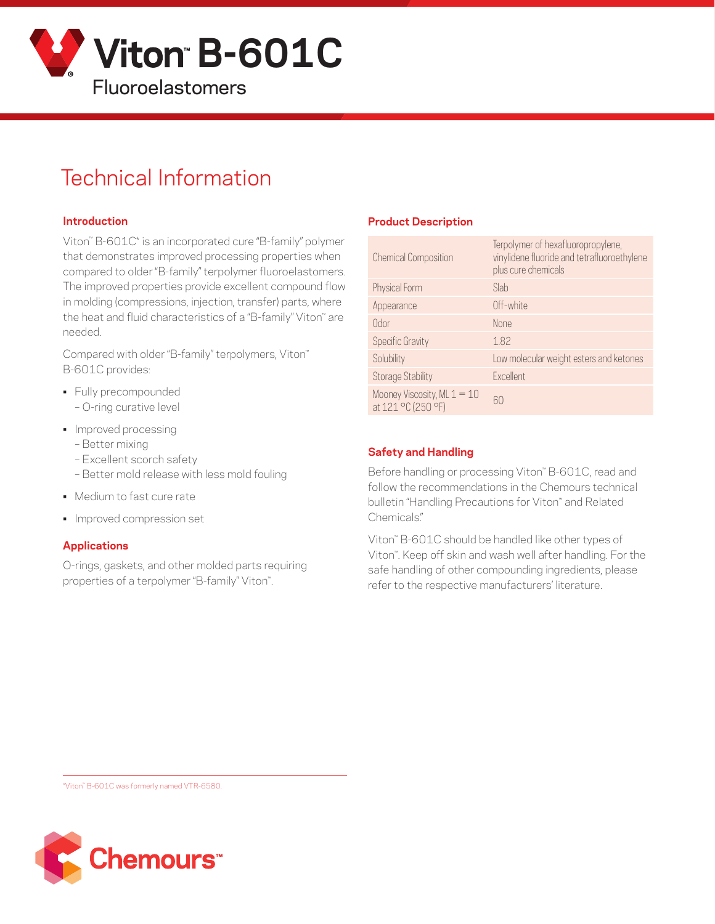

# Technical Information

#### **Introduction**

Viton™ B-601C\* is an incorporated cure "B-family" polymer that demonstrates improved processing properties when compared to older "B-family" terpolymer fluoroelastomers. The improved properties provide excellent compound flow in molding (compressions, injection, transfer) parts, where the heat and fluid characteristics of a "B-family" Viton" are needed.

Compared with older "B-family" terpolymers, Viton™ B-601C provides:

- Fully precompounded
	- O-ring curative level
- Improved processing
	- Better mixing
	- Excellent scorch safety
	- Better mold release with less mold fouling
- Medium to fast cure rate
- Improved compression set

#### **Applications**

O-rings, gaskets, and other molded parts requiring properties of a terpolymer "B-family" Viton™.

### **Product Description**

| <b>Chemical Composition</b>                         | Terpolymer of hexafluoropropylene,<br>vinylidene fluoride and tetrafluoroethylene<br>plus cure chemicals |
|-----------------------------------------------------|----------------------------------------------------------------------------------------------------------|
| Physical Form                                       | Slab                                                                                                     |
| Appearance                                          | Off-white                                                                                                |
| Odor                                                | <b>None</b>                                                                                              |
| <b>Specific Gravity</b>                             | 1.82                                                                                                     |
| Solubility                                          | Low molecular weight esters and ketones                                                                  |
| <b>Storage Stability</b>                            | Excellent                                                                                                |
| Mooney Viscosity, ML $1 = 10$<br>at 121 °C (250 °F) | 60                                                                                                       |

#### **Safety and Handling**

Before handling or processing Viton™ B-601C, read and follow the recommendations in the Chemours technical bulletin "Handling Precautions for Viton™ and Related Chemicals."

Viton™ B-601C should be handled like other types of Viton™. Keep off skin and wash well after handling. For the safe handling of other compounding ingredients, please refer to the respective manufacturers' literature.

\*Viton™ B-601C was formerly named VTR-6580.

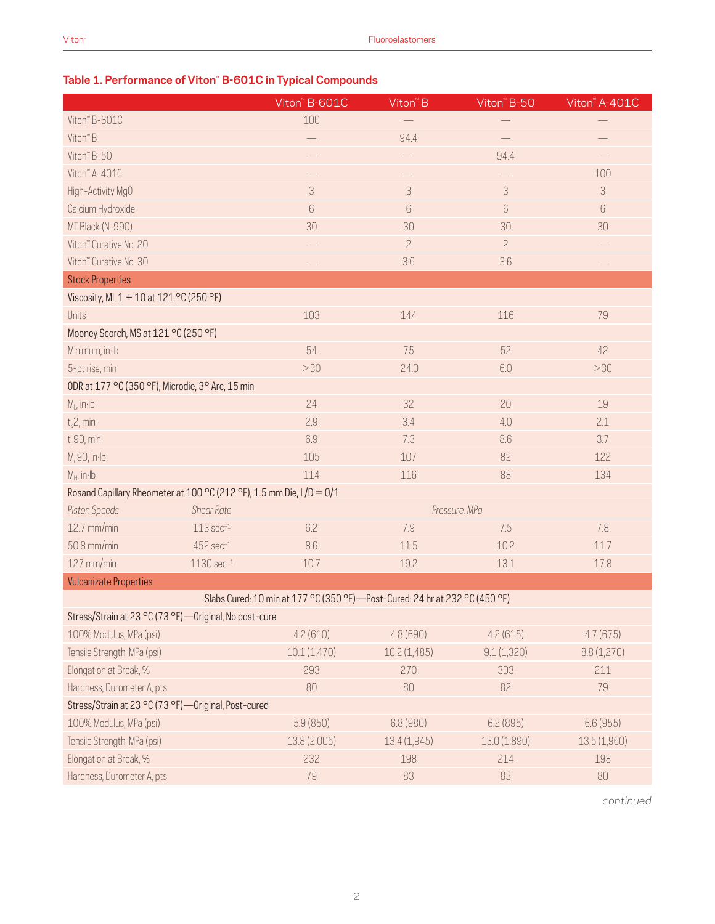# **Table 1. Performance of Viton™ B-601C in Typical Compounds**

|                                                                      |                         | Viton" B-601C                                                                 | Viton" B       | Viton" B-50    | Viton" A-401C               |  |  |
|----------------------------------------------------------------------|-------------------------|-------------------------------------------------------------------------------|----------------|----------------|-----------------------------|--|--|
| Viton" B-601C                                                        |                         | 100                                                                           |                |                |                             |  |  |
| Viton" B                                                             |                         | $\overline{\phantom{0}}$                                                      | 94.4           |                |                             |  |  |
| Viton" B-50                                                          |                         |                                                                               |                | 94.4           |                             |  |  |
| Viton" A-401C                                                        |                         |                                                                               |                |                | 100                         |  |  |
| High-Activity MgO                                                    |                         | $\ensuremath{\mathfrak{Z}}$                                                   | $\sqrt{3}$     | $\sqrt{3}$     | $\ensuremath{\mathfrak{Z}}$ |  |  |
| Calcium Hydroxide                                                    |                         | $\,6\,$                                                                       | 6              | $6\,$          | $6\,$                       |  |  |
| MT Black (N-990)                                                     |                         | 30                                                                            | 30             | 30             | 30                          |  |  |
| Viton" Curative No. 20                                               |                         |                                                                               | $\overline{c}$ | $\overline{c}$ |                             |  |  |
| Viton" Curative No. 30                                               |                         |                                                                               | 3.6            | 3.6            |                             |  |  |
| <b>Stock Properties</b>                                              |                         |                                                                               |                |                |                             |  |  |
| Viscosity, ML 1 + 10 at 121 °C (250 °F)                              |                         |                                                                               |                |                |                             |  |  |
| Units                                                                |                         | 103                                                                           | 144            | 116            | 79                          |  |  |
| Mooney Scorch, MS at 121 °C (250 °F)                                 |                         |                                                                               |                |                |                             |  |  |
| Minimum, in Ib                                                       |                         | 54                                                                            | 75             | 52             | 42                          |  |  |
| 5-pt rise, min                                                       |                         | >30                                                                           | 24.0           | 6.0            | >30                         |  |  |
| ODR at 177 °C (350 °F), Microdie, 3° Arc, 15 min                     |                         |                                                                               |                |                |                             |  |  |
| $M_L$ , in Ib                                                        |                         | 24                                                                            | 32             | 20             | 19                          |  |  |
| $t_s$ 2, min                                                         |                         | 2.9                                                                           | 3.4            | 4.0            | 2.1                         |  |  |
| $t_c$ 90, min                                                        |                         | 6.9                                                                           | 7.3            | 8.6            | 3.7                         |  |  |
| $M_c90$ , in Ib                                                      |                         | 105                                                                           | 107            | 82             | 122                         |  |  |
| $M_H$ , in Ib                                                        |                         | 114                                                                           | 116            | 88             | 134                         |  |  |
| Rosand Capillary Rheometer at 100 °C (212 °F), 1.5 mm Die, L/D = 0/1 |                         |                                                                               |                |                |                             |  |  |
| Piston Speeds                                                        | <b>Shear Rate</b>       |                                                                               |                | Pressure, MPa  |                             |  |  |
| 12.7 mm/min                                                          | $113 \text{ sec}^{-1}$  | 6.2                                                                           | 7.9            | 7.5            | 7.8                         |  |  |
| 50.8 mm/min                                                          | $452$ sec $^{-1}$       | 8.6                                                                           | 11.5           | 10.2           | 11.7                        |  |  |
| $127$ mm/min                                                         | $1130 \text{ sec}^{-1}$ | 10.7                                                                          | 19.2           | 13.1           | 17.8                        |  |  |
| <b>Vulcanizate Properties</b>                                        |                         |                                                                               |                |                |                             |  |  |
|                                                                      |                         | Slabs Cured: 10 min at 177 °C (350 °F) - Post-Cured: 24 hr at 232 °C (450 °F) |                |                |                             |  |  |
| Stress/Strain at 23 °C (73 °F)-Original, No post-cure                |                         |                                                                               |                |                |                             |  |  |
| 100% Modulus, MPa (psi)                                              |                         | 4.2(610)                                                                      | 4.8 (690)      | 4.2(615)       | 4.7(675)                    |  |  |
| Tensile Strength, MPa (psi)                                          |                         | 10.1(1,470)                                                                   | 10.2 (1,485)   | 9.1(1,320)     | 8.8(1,270)                  |  |  |
| Elongation at Break, %                                               |                         | 293                                                                           | 270            | 303            | 211                         |  |  |
| Hardness, Durometer A, pts                                           |                         | 80                                                                            | 80             | 82             | 79                          |  |  |
| Stress/Strain at 23 °C (73 °F)-Original, Post-cured                  |                         |                                                                               |                |                |                             |  |  |
| 100% Modulus, MPa (psi)                                              |                         | 5.9(850)                                                                      | 6.8(980)       | 6.2(895)       | 6.6 (955)                   |  |  |
| Tensile Strength, MPa (psi)                                          |                         | 13.8 (2,005)                                                                  | 13.4 (1,945)   | 13.0 (1,890)   | 13.5(1,960)                 |  |  |
| Elongation at Break, %                                               |                         | 232                                                                           | 198            | 214            | 198                         |  |  |
| Hardness, Durometer A, pts                                           |                         | 79                                                                            | 83             | 83             | 80                          |  |  |

*continued*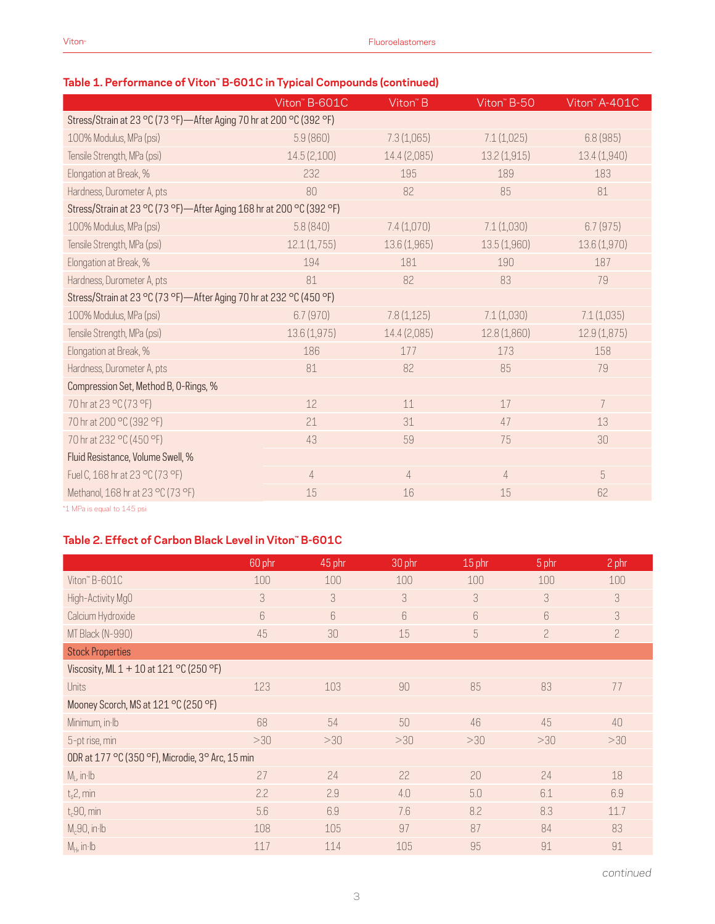## **Table 1. Performance of Viton™ B-601C in Typical Compounds (continued)**

|                                                                      | Viton" B-601C  | Viton" B       | Viton" B-50    | Viton" A-401C |  |  |  |  |
|----------------------------------------------------------------------|----------------|----------------|----------------|---------------|--|--|--|--|
| Stress/Strain at 23 °C (73 °F)-After Aging 70 hr at 200 °C (392 °F)  |                |                |                |               |  |  |  |  |
| 100% Modulus, MPa (psi)                                              | 5.9(860)       | 7.3(1,065)     | 7.1(1,025)     | 6.8(985)      |  |  |  |  |
| Tensile Strength, MPa (psi)                                          | 14.5(2,100)    | 14.4 (2,085)   | 13.2 (1,915)   | 13.4(1,940)   |  |  |  |  |
| Elongation at Break, %                                               | 232            | 195            | 189            | 183           |  |  |  |  |
| Hardness, Durometer A, pts                                           | 80             | 82             | 85             | 81            |  |  |  |  |
| Stress/Strain at 23 °C (73 °F)-After Aging 168 hr at 200 °C (392 °F) |                |                |                |               |  |  |  |  |
| 100% Modulus, MPa (psi)                                              | 5.8(840)       | 7.4(1,070)     | 7.1(1,030)     | 6.7(975)      |  |  |  |  |
| Tensile Strength, MPa (psi)                                          | 12.1(1,755)    | 13.6 (1,965)   | 13.5 (1,960)   | 13.6 (1,970)  |  |  |  |  |
| Elongation at Break, %                                               | 194            | 181            | 190            | 187           |  |  |  |  |
| Hardness, Durometer A, pts                                           | 81             | 82             | 83             | 79            |  |  |  |  |
| Stress/Strain at 23 °C (73 °F)-After Aging 70 hr at 232 °C (450 °F)  |                |                |                |               |  |  |  |  |
| 100% Modulus, MPa (psi)                                              | 6.7(970)       | 7.8(1,125)     | 7.1(1,030)     | 7.1(1,035)    |  |  |  |  |
| Tensile Strength, MPa (psi)                                          | 13.6 (1,975)   | 14.4 (2,085)   | 12.8 (1,860)   | 12.9(1,875)   |  |  |  |  |
| Elongation at Break, %                                               | 186            | 177            | 173            | 158           |  |  |  |  |
| Hardness, Durometer A, pts                                           | 81             | 82             | 85             | 79            |  |  |  |  |
| Compression Set, Method B, O-Rings, %                                |                |                |                |               |  |  |  |  |
| 70 hr at 23 °C (73 °F)                                               | 12             | 11             | 17             | 7             |  |  |  |  |
| 70 hr at 200 °C (392 °F)                                             | 21             | 31             | 47             | 13            |  |  |  |  |
| 70 hr at 232 °C (450 °F)                                             | 43             | 59             | 75             | 30            |  |  |  |  |
| Fluid Resistance, Volume Swell, %                                    |                |                |                |               |  |  |  |  |
| Fuel C, 168 hr at 23 °C (73 °F)                                      | $\overline{4}$ | $\overline{4}$ | $\overline{4}$ | 5             |  |  |  |  |
| Methanol, 168 hr at 23 °C (73 °F)                                    | 15             | 16             | 15             | 62            |  |  |  |  |
|                                                                      |                |                |                |               |  |  |  |  |

\*1 MPa is equal to 145 psi

### **Table 2. Effect of Carbon Black Level in Viton™ B-601C**

|                                                  | 60 phr | 45 phr | 30 phr | 15 phr | 5 phr          | 2 phr          |  |
|--------------------------------------------------|--------|--------|--------|--------|----------------|----------------|--|
| Viton" B-601C                                    | 100    | 100    | 100    | 100    | 100            | 100            |  |
| High-Activity MgO                                | 3      | 3      | 3      | 3      | 3              | 3              |  |
| Calcium Hydroxide                                | 6      | 6      | 6      | 6      | 6              | 3              |  |
| MT Black (N-990)                                 | 45     | 30     | 15     | 5      | $\overline{c}$ | $\overline{c}$ |  |
| <b>Stock Properties</b>                          |        |        |        |        |                |                |  |
| Viscosity, ML 1 + 10 at 121 °C (250 °F)          |        |        |        |        |                |                |  |
| <b>Units</b>                                     | 123    | 103    | 90     | 85     | 83             | 77             |  |
| Mooney Scorch, MS at 121 °C (250 °F)             |        |        |        |        |                |                |  |
| Minimum, in Ib                                   | 68     | 54     | 50     | 46     | 45             | 40             |  |
| 5-pt rise, min                                   | >30    | >30    | >30    | >30    | >30            | >30            |  |
| ODR at 177 °C (350 °F), Microdie, 3° Arc, 15 min |        |        |        |        |                |                |  |
| $M1$ , in Ib                                     | 27     | 24     | 22     | 20     | 24             | 18             |  |
| $t_s$ 2, min                                     | 2.2    | 2.9    | 4.0    | 5.0    | 6.1            | 6.9            |  |
| $t_c$ 90, min                                    | 5.6    | 6.9    | 7.6    | 8.2    | 8.3            | 11.7           |  |
| $M_c$ 90, in·lb                                  | 108    | 105    | 97     | 87     | 84             | 83             |  |
| $M_H$ , in Ib                                    | 117    | 114    | 105    | 95     | 91             | 91             |  |

*continued*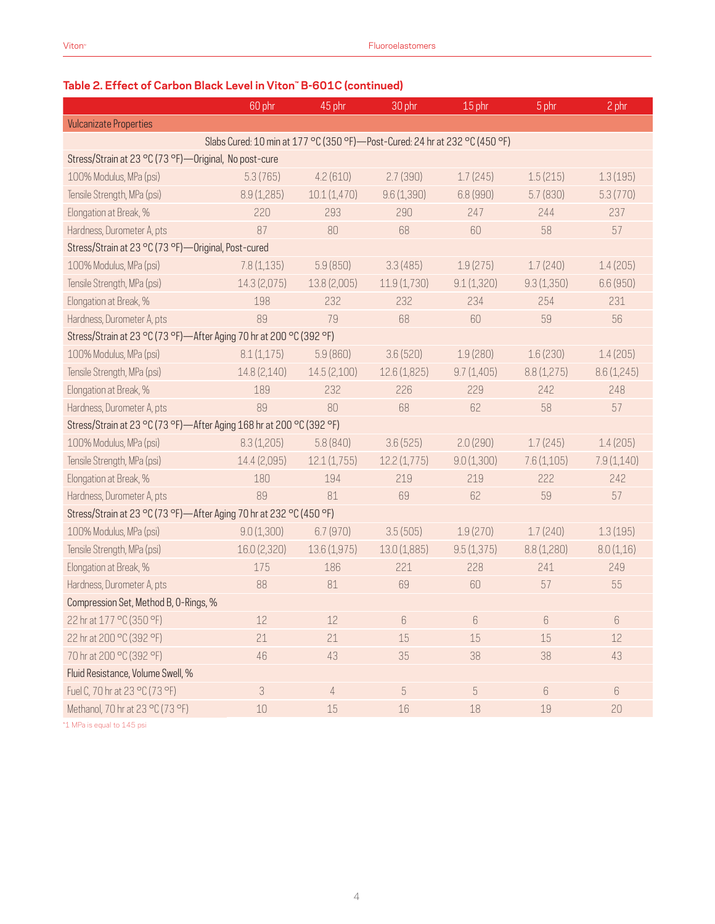# **Table 2. Effect of Carbon Black Level in Viton™ B-601C (continued)**

|                                                                      | 60 phr                                                                        | 45 phr       | 30 phr       | 15 phr          | 5 phr            | 2 phr            |  |
|----------------------------------------------------------------------|-------------------------------------------------------------------------------|--------------|--------------|-----------------|------------------|------------------|--|
| <b>Vulcanizate Properties</b>                                        |                                                                               |              |              |                 |                  |                  |  |
|                                                                      | Slabs Cured: 10 min at 177 °C (350 °F) - Post-Cured: 24 hr at 232 °C (450 °F) |              |              |                 |                  |                  |  |
| Stress/Strain at 23 °C (73 °F) — Original, No post-cure              |                                                                               |              |              |                 |                  |                  |  |
| 100% Modulus, MPa (psi)                                              | 5.3(765)                                                                      | 4.2(610)     | 2.7(390)     | 1.7(245)        | 1.5(215)         | 1.3(195)         |  |
| Tensile Strength, MPa (psi)                                          | 8.9(1,285)                                                                    | 10.1(1,470)  | 9.6(1,390)   | 6.8 (990)       | 5.7(830)         | 5.3(770)         |  |
| Elongation at Break, %                                               | 220                                                                           | 293          | 290          | 247             | 244              | 237              |  |
| Hardness, Durometer A, pts                                           | 87                                                                            | 80           | 68           | 60              | 58               | 57               |  |
| Stress/Strain at 23 °C (73 °F)-Original, Post-cured                  |                                                                               |              |              |                 |                  |                  |  |
| 100% Modulus, MPa (psi)                                              | 7.8(1,135)                                                                    | 5.9(850)     | 3.3(485)     | 1.9(275)        | 1.7(240)         | 1.4(205)         |  |
| Tensile Strength, MPa (psi)                                          | 14.3(2,075)                                                                   | 13.8 (2,005) | 11.9(1,730)  | 9.1(1,320)      | 9.3(1,350)       | 6.6 (950)        |  |
| Elongation at Break, %                                               | 198                                                                           | 232          | 232          | 234             | 254              | 231              |  |
| Hardness, Durometer A, pts                                           | 89                                                                            | 79           | 68           | 60              | 59               | 56               |  |
| Stress/Strain at 23 °C (73 °F)-After Aging 70 hr at 200 °C (392 °F)  |                                                                               |              |              |                 |                  |                  |  |
| 100% Modulus, MPa (psi)                                              | 8.1(1,175)                                                                    | 5.9(860)     | 3.6(520)     | 1.9(280)        | 1.6(230)         | 1.4(205)         |  |
| Tensile Strength, MPa (psi)                                          | 14.8 (2,140)                                                                  | 14.5 (2,100) | 12.6 (1,825) | 9.7(1,405)      | 8.8 (1,275)      | 8.6 (1,245)      |  |
| Elongation at Break, %                                               | 189                                                                           | 232          | 226          | 229             | 242              | 248              |  |
| Hardness, Durometer A, pts                                           | 89                                                                            | 80           | 68           | 62              | 58               | 57               |  |
| Stress/Strain at 23 °C (73 °F)-After Aging 168 hr at 200 °C (392 °F) |                                                                               |              |              |                 |                  |                  |  |
| 100% Modulus, MPa (psi)                                              | 8.3(1,205)                                                                    | 5.8(840)     | 3.6(525)     | 2.0(290)        | 1.7(245)         | 1.4(205)         |  |
| Tensile Strength, MPa (psi)                                          | 14.4 (2,095)                                                                  | 12.1(1,755)  | 12.2(1,775)  | 9.0(1,300)      | 7.6(1,105)       | 7.9(1,140)       |  |
| Elongation at Break, %                                               | 180                                                                           | 194          | 219          | 219             | 222              | 242              |  |
| Hardness, Durometer A, pts                                           | 89                                                                            | 81           | 69           | 62              | 59               | 57               |  |
| Stress/Strain at 23 °C (73 °F)-After Aging 70 hr at 232 °C (450 °F)  |                                                                               |              |              |                 |                  |                  |  |
| 100% Modulus, MPa (psi)                                              | 9.0(1,300)                                                                    | 6.7(970)     | 3.5(505)     | 1.9(270)        | 1.7(240)         | 1.3(195)         |  |
| Tensile Strength, MPa (psi)                                          | 16.0 (2,320)                                                                  | 13.6(1,975)  | 13.0(1,885)  | 9.5(1,375)      | 8.8(1,280)       | 8.0(1,16)        |  |
| Elongation at Break, %                                               | 175                                                                           | 186          | 221          | 228             | 241              | 249              |  |
| Hardness, Durometer A, pts                                           | 88                                                                            | 81           | 69           | 60              | 57               | 55               |  |
| Compression Set, Method B, O-Rings, %                                |                                                                               |              |              |                 |                  |                  |  |
| 22 hr at 177 °C (350 °F)                                             | $12\,$                                                                        | 12           | 6            | $6\phantom{.}6$ | $6\,$            | $6\,$            |  |
| 22 hr at 200 °C (392 °F)                                             | 21                                                                            | 21           | 15           | 15              | 15               | 12               |  |
| 70 hr at 200 °C (392 °F)                                             | 46                                                                            | 43           | 35           | 38              | 38               | 43               |  |
| Fluid Resistance, Volume Swell, %                                    |                                                                               |              |              |                 |                  |                  |  |
| Fuel C, 70 hr at 23 °C (73 °F)                                       | 3                                                                             | $\sqrt{4}$   | $\sqrt{5}$   | $\sqrt{5}$      | $\boldsymbol{6}$ | $\boldsymbol{6}$ |  |
| Methanol, 70 hr at 23 °C (73 °F)                                     | 10                                                                            | 15           | 16           | 18              | 19               | 20               |  |

\*1 MPa is equal to 145 psi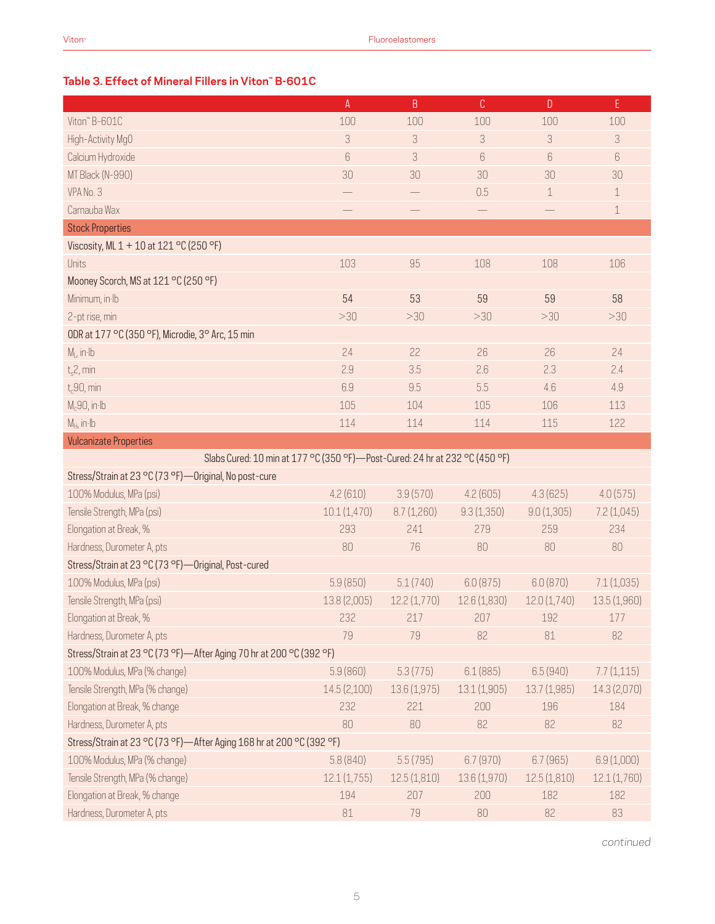#### **Table 3. Effect of Mineral Fillers in Viton™ B-601C**

|                                                                               | A                        | $\sf B$                  | $\mathbb{C}$      | $\mathsf{D}$ | E            |  |
|-------------------------------------------------------------------------------|--------------------------|--------------------------|-------------------|--------------|--------------|--|
| Viton" B-601C                                                                 | 100                      | 100                      | 100               | 100          | 100          |  |
| High-Activity MgO                                                             | 3                        | 3                        | 3                 | 3            | 3            |  |
| Calcium Hydroxide                                                             | $\boldsymbol{6}$         | 3                        | $6\,$             | 6            | 6            |  |
| MT Black (N-990)                                                              | 30                       | 30                       | 30                | 30           | 30           |  |
| VPA No. 3                                                                     | $\overline{\phantom{0}}$ | $\overline{\phantom{0}}$ | 0.5               | 1            | $\mathbf 1$  |  |
| Carnauba Wax                                                                  |                          |                          | $\qquad \qquad -$ |              | $\mathbf 1$  |  |
| <b>Stock Properties</b>                                                       |                          |                          |                   |              |              |  |
| Viscosity, ML 1 + 10 at 121 °C (250 °F)                                       |                          |                          |                   |              |              |  |
| Units                                                                         | 103                      | 95                       | 108               | 108          | 106          |  |
| Mooney Scorch, MS at 121 °C (250 °F)                                          |                          |                          |                   |              |              |  |
| Minimum, in Ib                                                                | 54                       | 53                       | 59                | 59           | 58           |  |
| 2-pt rise, min                                                                | >30                      | >30                      | >30               | >30          | >30          |  |
| ODR at 177 °C (350 °F), Microdie, 3° Arc, 15 min                              |                          |                          |                   |              |              |  |
| $M_L$ , in $Ib$                                                               | 24                       | 22                       | 26                | 26           | 24           |  |
| $t_s$ 2, min                                                                  | 2.9                      | 3.5                      | 2.6               | 2.3          | 2.4          |  |
| $t_c$ 90, min                                                                 | 6.9                      | 9.5                      | 5.5               | 4.6          | 4.9          |  |
| $M_c$ 90, in·lb                                                               | 105                      | 104                      | 105               | 106          | 113          |  |
| $M_H$ , in Ib                                                                 | 114                      | 114                      | 114               | 115          | 122          |  |
| <b>Vulcanizate Properties</b>                                                 |                          |                          |                   |              |              |  |
| Slabs Cured: 10 min at 177 °C (350 °F) - Post-Cured: 24 hr at 232 °C (450 °F) |                          |                          |                   |              |              |  |
| Stress/Strain at 23 °C (73 °F) - Original, No post-cure                       |                          |                          |                   |              |              |  |
| 100% Modulus, MPa (psi)                                                       | 4.2(610)                 | 3.9(570)                 | 4.2(605)          | 4.3(625)     | 4.0(575)     |  |
| Tensile Strength, MPa (psi)                                                   | 10.1(1,470)              | 8.7(1,260)               | 9.3(1,350)        | 9.0(1,305)   | 7.2(1,045)   |  |
| Elongation at Break, %                                                        | 293                      | 241                      | 279               | 259          | 234          |  |
| Hardness, Durometer A, pts                                                    | 80                       | 76                       | 80                | 80           | 80           |  |
| Stress/Strain at 23 °C (73 °F)-Original, Post-cured                           |                          |                          |                   |              |              |  |
| 100% Modulus, MPa (psi)                                                       | 5.9(850)                 | 5.1(740)                 | 6.0(875)          | 6.0(870)     | 7.1(1,035)   |  |
| Tensile Strength, MPa (psi)                                                   | 13.8 (2,005)             | 12.2(1,770)              | 12.6(1,830)       | 12.0(1,740)  | 13.5(1,960)  |  |
| Elongation at Break, %                                                        | 232                      | 217                      | 207               | 192          | 177          |  |
| Hardness, Durometer A, pts                                                    | 79                       | 79                       | 82                | 81           | 82           |  |
| Stress/Strain at 23 °C (73 °F)-After Aging 70 hr at 200 °C (392 °F)           |                          |                          |                   |              |              |  |
| 100% Modulus, MPa (% change)                                                  | 5.9(860)                 | 5.3(775)                 | 6.1(885)          | 6.5(940)     | 7.7(1,115)   |  |
| Tensile Strength, MPa (% change)                                              | 14.5(2,100)              | 13.6 (1,975)             | 13.1 (1,905)      | 13.7 (1,985) | 14.3 (2,070) |  |
| Elongation at Break, % change                                                 | 232                      | 221                      | 200               | 196          | 184          |  |
| Hardness, Durometer A, pts                                                    | 80                       | 80                       | 82                | 82           | 82           |  |
| Stress/Strain at 23 °C (73 °F)-After Aging 168 hr at 200 °C (392 °F)          |                          |                          |                   |              |              |  |
| 100% Modulus, MPa (% change)                                                  | 5.8(840)                 | 5.5(795)                 | 6.7(970)          | 6.7(965)     | 6.9(1,000)   |  |
| Tensile Strength, MPa (% change)                                              | 12.1(1,755)              | 12.5(1,810)              | 13.6 (1,970)      | 12.5(1,810)  | 12.1(1,760)  |  |
| Elongation at Break, % change                                                 | 194                      | 207                      | 200               | 182          | 182          |  |
| Hardness, Durometer A, pts                                                    | 81                       | 79                       | 80                | 82           | 83           |  |

*continued*